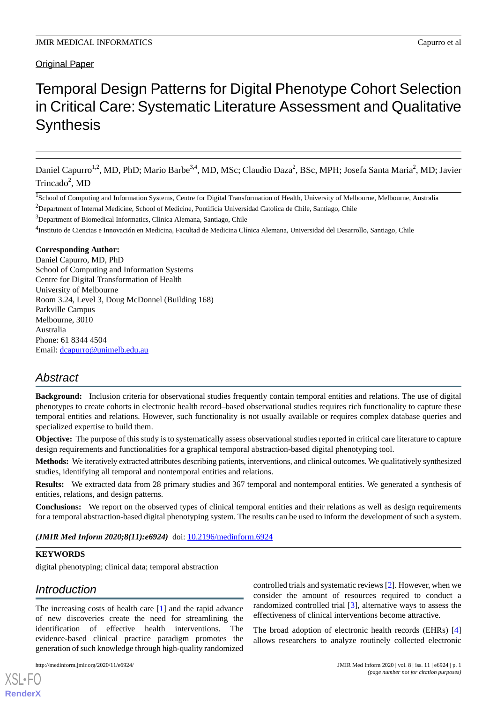# Original Paper

# Temporal Design Patterns for Digital Phenotype Cohort Selection in Critical Care: Systematic Literature Assessment and Qualitative **Synthesis**

Daniel Capurro<sup>1,2</sup>, MD, PhD; Mario Barbe<sup>3,4</sup>, MD, MSc; Claudio Daza<sup>2</sup>, BSc, MPH; Josefa Santa Maria<sup>2</sup>, MD; Javier Trincado<sup>2</sup>, MD

<sup>1</sup>School of Computing and Information Systems, Centre for Digital Transformation of Health, University of Melbourne, Melbourne, Australia <sup>2</sup>Department of Internal Medicine, School of Medicine, Pontificia Universidad Catolica de Chile, Santiago, Chile

<sup>3</sup>Department of Biomedical Informatics, Clinica Alemana, Santiago, Chile

<sup>4</sup>Instituto de Ciencias e Innovación en Medicina, Facultad de Medicina Clínica Alemana, Universidad del Desarrollo, Santiago, Chile

# **Corresponding Author:**

Daniel Capurro, MD, PhD School of Computing and Information Systems Centre for Digital Transformation of Health University of Melbourne Room 3.24, Level 3, Doug McDonnel (Building 168) Parkville Campus Melbourne, 3010 Australia Phone: 61 8344 4504 Email: [dcapurro@unimelb.edu.au](mailto:dcapurro@unimelb.edu.au)

# *Abstract*

**Background:** Inclusion criteria for observational studies frequently contain temporal entities and relations. The use of digital phenotypes to create cohorts in electronic health record–based observational studies requires rich functionality to capture these temporal entities and relations. However, such functionality is not usually available or requires complex database queries and specialized expertise to build them.

**Objective:** The purpose of this study is to systematically assess observational studies reported in critical care literature to capture design requirements and functionalities for a graphical temporal abstraction-based digital phenotyping tool.

**Methods:** We iteratively extracted attributes describing patients, interventions, and clinical outcomes. We qualitatively synthesized studies, identifying all temporal and nontemporal entities and relations.

**Results:** We extracted data from 28 primary studies and 367 temporal and nontemporal entities. We generated a synthesis of entities, relations, and design patterns.

**Conclusions:** We report on the observed types of clinical temporal entities and their relations as well as design requirements for a temporal abstraction-based digital phenotyping system. The results can be used to inform the development of such a system.

*(JMIR Med Inform 2020;8(11):e6924)* doi: [10.2196/medinform.6924](http://dx.doi.org/10.2196/medinform.6924)

### **KEYWORDS**

digital phenotyping; clinical data; temporal abstraction

# *Introduction*

[XSL](http://www.w3.org/Style/XSL)•FO **[RenderX](http://www.renderx.com/)**

The increasing costs of health care [[1\]](#page-7-0) and the rapid advance of new discoveries create the need for streamlining the identification of effective health interventions. The evidence-based clinical practice paradigm promotes the generation of such knowledge through high-quality randomized

controlled trials and systematic reviews [[2\]](#page-7-1). However, when we consider the amount of resources required to conduct a randomized controlled trial [[3\]](#page-7-2), alternative ways to assess the effectiveness of clinical interventions become attractive.

The broad adoption of electronic health records (EHRs) [\[4](#page-7-3)] allows researchers to analyze routinely collected electronic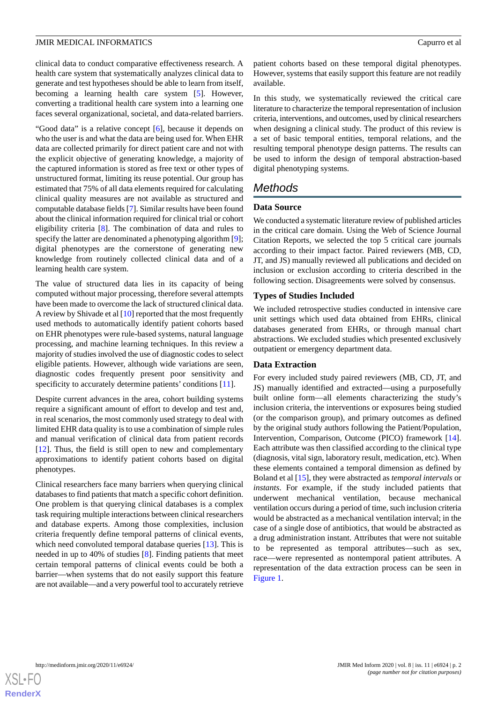clinical data to conduct comparative effectiveness research. A health care system that systematically analyzes clinical data to generate and test hypotheses should be able to learn from itself, becoming a learning health care system [\[5](#page-7-4)]. However, converting a traditional health care system into a learning one faces several organizational, societal, and data-related barriers.

"Good data" is a relative concept [[6\]](#page-7-5), because it depends on who the user is and what the data are being used for. When EHR data are collected primarily for direct patient care and not with the explicit objective of generating knowledge, a majority of the captured information is stored as free text or other types of unstructured format, limiting its reuse potential. Our group has estimated that 75% of all data elements required for calculating clinical quality measures are not available as structured and computable database fields [[7\]](#page-7-6). Similar results have been found about the clinical information required for clinical trial or cohort eligibility criteria [[8\]](#page-7-7). The combination of data and rules to specify the latter are denominated a phenotyping algorithm [\[9\]](#page-7-8); digital phenotypes are the cornerstone of generating new knowledge from routinely collected clinical data and of a learning health care system.

The value of structured data lies in its capacity of being computed without major processing, therefore several attempts have been made to overcome the lack of structured clinical data. A review by Shivade et al [[10\]](#page-7-9) reported that the most frequently used methods to automatically identify patient cohorts based on EHR phenotypes were rule-based systems, natural language processing, and machine learning techniques. In this review a majority of studies involved the use of diagnostic codes to select eligible patients. However, although wide variations are seen, diagnostic codes frequently present poor sensitivity and specificity to accurately determine patients' conditions [\[11](#page-7-10)].

Despite current advances in the area, cohort building systems require a significant amount of effort to develop and test and, in real scenarios, the most commonly used strategy to deal with limited EHR data quality is to use a combination of simple rules and manual verification of clinical data from patient records  $[12]$  $[12]$ . Thus, the field is still open to new and complementary approximations to identify patient cohorts based on digital phenotypes.

Clinical researchers face many barriers when querying clinical databases to find patients that match a specific cohort definition. One problem is that querying clinical databases is a complex task requiring multiple interactions between clinical researchers and database experts. Among those complexities, inclusion criteria frequently define temporal patterns of clinical events, which need convoluted temporal database queries [\[13](#page-8-0)]. This is needed in up to 40% of studies [\[8](#page-7-7)]. Finding patients that meet certain temporal patterns of clinical events could be both a barrier—when systems that do not easily support this feature are not available—and a very powerful tool to accurately retrieve

patient cohorts based on these temporal digital phenotypes. However, systems that easily support this feature are not readily available.

In this study, we systematically reviewed the critical care literature to characterize the temporal representation of inclusion criteria, interventions, and outcomes, used by clinical researchers when designing a clinical study. The product of this review is a set of basic temporal entities, temporal relations, and the resulting temporal phenotype design patterns. The results can be used to inform the design of temporal abstraction-based digital phenotyping systems.

# *Methods*

# **Data Source**

We conducted a systematic literature review of published articles in the critical care domain. Using the Web of Science Journal Citation Reports, we selected the top 5 critical care journals according to their impact factor. Paired reviewers (MB, CD, JT, and JS) manually reviewed all publications and decided on inclusion or exclusion according to criteria described in the following section. Disagreements were solved by consensus.

# **Types of Studies Included**

We included retrospective studies conducted in intensive care unit settings which used data obtained from EHRs, clinical databases generated from EHRs, or through manual chart abstractions. We excluded studies which presented exclusively outpatient or emergency department data.

# **Data Extraction**

For every included study paired reviewers (MB, CD, JT, and JS) manually identified and extracted—using a purposefully built online form—all elements characterizing the study's inclusion criteria, the interventions or exposures being studied (or the comparison group), and primary outcomes as defined by the original study authors following the Patient/Population, Intervention, Comparison, Outcome (PICO) framework [[14\]](#page-8-1). Each attribute was then classified according to the clinical type (diagnosis, vital sign, laboratory result, medication, etc). When these elements contained a temporal dimension as defined by Boland et al [[15\]](#page-8-2), they were abstracted as *temporal intervals* or *instants*. For example, if the study included patients that underwent mechanical ventilation, because mechanical ventilation occurs during a period of time, such inclusion criteria would be abstracted as a mechanical ventilation interval; in the case of a single dose of antibiotics, that would be abstracted as a drug administration instant. Attributes that were not suitable to be represented as temporal attributes—such as sex, race—were represented as nontemporal patient attributes. A representation of the data extraction process can be seen in [Figure 1](#page-2-0).

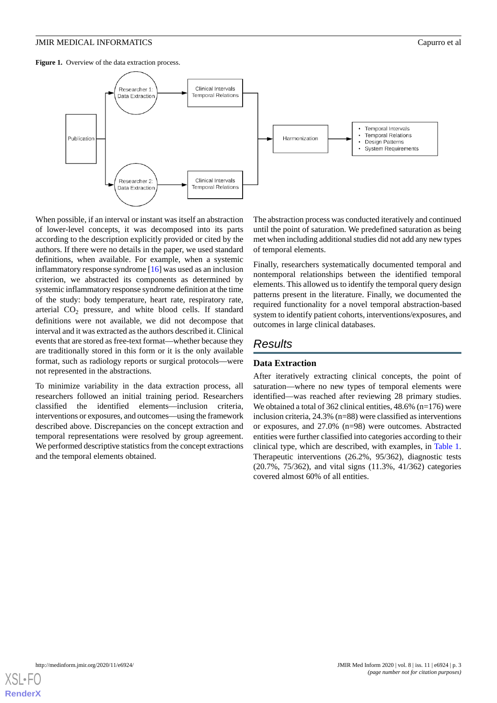<span id="page-2-0"></span>Figure 1. Overview of the data extraction process.



When possible, if an interval or instant was itself an abstraction of lower-level concepts, it was decomposed into its parts according to the description explicitly provided or cited by the authors. If there were no details in the paper, we used standard definitions, when available. For example, when a systemic inflammatory response syndrome [\[16](#page-8-3)] was used as an inclusion criterion, we abstracted its components as determined by systemic inflammatory response syndrome definition at the time of the study: body temperature, heart rate, respiratory rate, arterial CO<sub>2</sub> pressure, and white blood cells. If standard definitions were not available, we did not decompose that interval and it was extracted as the authors described it. Clinical events that are stored as free-text format—whether because they are traditionally stored in this form or it is the only available format, such as radiology reports or surgical protocols—were not represented in the abstractions.

To minimize variability in the data extraction process, all researchers followed an initial training period. Researchers classified the identified elements—inclusion criteria, interventions or exposures, and outcomes—using the framework described above. Discrepancies on the concept extraction and temporal representations were resolved by group agreement. We performed descriptive statistics from the concept extractions and the temporal elements obtained.

The abstraction process was conducted iteratively and continued until the point of saturation. We predefined saturation as being met when including additional studies did not add any new types of temporal elements.

Finally, researchers systematically documented temporal and nontemporal relationships between the identified temporal elements. This allowed us to identify the temporal query design patterns present in the literature. Finally, we documented the required functionality for a novel temporal abstraction-based system to identify patient cohorts, interventions/exposures, and outcomes in large clinical databases.

# *Results*

# **Data Extraction**

After iteratively extracting clinical concepts, the point of saturation—where no new types of temporal elements were identified—was reached after reviewing 28 primary studies. We obtained a total of 362 clinical entities, 48.6% (n=176) were inclusion criteria, 24.3% (n=88) were classified as interventions or exposures, and 27.0% (n=98) were outcomes. Abstracted entities were further classified into categories according to their clinical type, which are described, with examples, in [Table 1](#page-3-0). Therapeutic interventions (26.2%, 95/362), diagnostic tests (20.7%, 75/362), and vital signs (11.3%, 41/362) categories covered almost 60% of all entities.

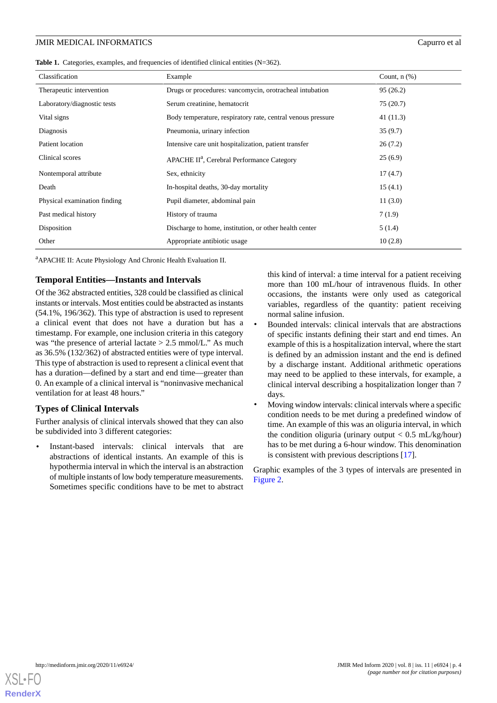<span id="page-3-0"></span>

|  |  |  |  |  | <b>Table 1.</b> Categories, examples, and frequencies of identified clinical entities $(N=362)$ . |  |  |  |
|--|--|--|--|--|---------------------------------------------------------------------------------------------------|--|--|--|
|--|--|--|--|--|---------------------------------------------------------------------------------------------------|--|--|--|

| Classification               | Example                                                     | Count, $n$ $(\%)$ |  |
|------------------------------|-------------------------------------------------------------|-------------------|--|
| Therapeutic intervention     | Drugs or procedures: vancomycin, orotracheal intubation     | 95(26.2)          |  |
| Laboratory/diagnostic tests  | Serum creatinine, hematocrit                                | 75(20.7)          |  |
| Vital signs                  | Body temperature, respiratory rate, central venous pressure | 41 (11.3)         |  |
| Diagnosis                    | Pneumonia, urinary infection                                | 35(9.7)           |  |
| Patient location             | Intensive care unit hospitalization, patient transfer       | 26(7.2)           |  |
| Clinical scores              | APACHE II <sup>a</sup> , Cerebral Performance Category      | 25(6.9)           |  |
| Nontemporal attribute        | Sex, ethnicity                                              | 17(4.7)           |  |
| Death                        | In-hospital deaths, 30-day mortality                        | 15(4.1)           |  |
| Physical examination finding | Pupil diameter, abdominal pain                              | 11(3.0)           |  |
| Past medical history         | History of trauma                                           | 7(1.9)            |  |
| Disposition                  | Discharge to home, institution, or other health center      | 5(1.4)            |  |
| Other                        | Appropriate antibiotic usage                                | 10(2.8)           |  |

<sup>a</sup>APACHE II: Acute Physiology And Chronic Health Evaluation II.

#### **Temporal Entities—Instants and Intervals**

Of the 362 abstracted entities, 328 could be classified as clinical instants or intervals. Most entities could be abstracted as instants (54.1%, 196/362). This type of abstraction is used to represent a clinical event that does not have a duration but has a timestamp. For example, one inclusion criteria in this category was "the presence of arterial lactate > 2.5 mmol/L." As much as 36.5% (132/362) of abstracted entities were of type interval. This type of abstraction is used to represent a clinical event that has a duration—defined by a start and end time—greater than 0. An example of a clinical interval is "noninvasive mechanical ventilation for at least 48 hours."

#### **Types of Clinical Intervals**

Further analysis of clinical intervals showed that they can also be subdivided into 3 different categories:

Instant-based intervals: clinical intervals that are abstractions of identical instants. An example of this is hypothermia interval in which the interval is an abstraction of multiple instants of low body temperature measurements. Sometimes specific conditions have to be met to abstract this kind of interval: a time interval for a patient receiving more than 100 mL/hour of intravenous fluids. In other occasions, the instants were only used as categorical variables, regardless of the quantity: patient receiving normal saline infusion.

- Bounded intervals: clinical intervals that are abstractions of specific instants defining their start and end times. An example of this is a hospitalization interval, where the start is defined by an admission instant and the end is defined by a discharge instant. Additional arithmetic operations may need to be applied to these intervals, for example, a clinical interval describing a hospitalization longer than 7 days.
- Moving window intervals: clinical intervals where a specific condition needs to be met during a predefined window of time. An example of this was an oliguria interval, in which the condition oliguria (urinary output  $< 0.5$  mL/kg/hour) has to be met during a 6-hour window. This denomination is consistent with previous descriptions [\[17](#page-8-4)].

Graphic examples of the 3 types of intervals are presented in [Figure 2](#page-4-0).

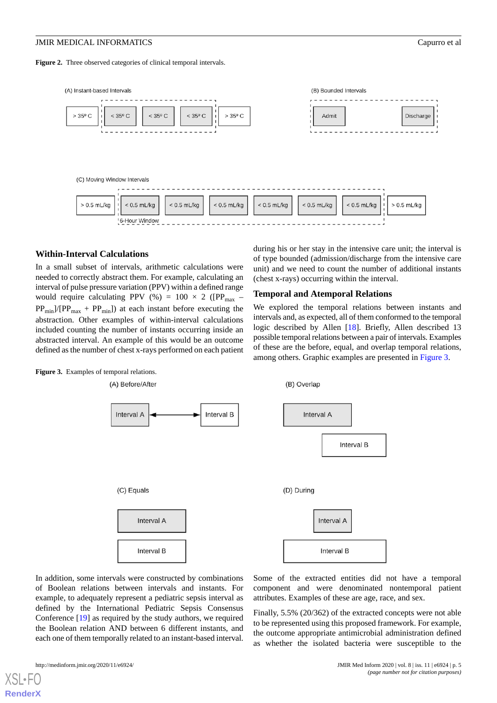<span id="page-4-0"></span>Figure 2. Three observed categories of clinical temporal intervals.



#### **Within-Interval Calculations**

In a small subset of intervals, arithmetic calculations were needed to correctly abstract them. For example, calculating an interval of pulse pressure variation (PPV) within a defined range would require calculating PPV (%) =  $100 \times 2$  ([PP<sub>max</sub> –  $PP_{min}$ ]/[PP<sub>max</sub> + PP<sub>min</sub>]) at each instant before executing the abstraction. Other examples of within-interval calculations included counting the number of instants occurring inside an abstracted interval. An example of this would be an outcome defined as the number of chest x-rays performed on each patient during his or her stay in the intensive care unit; the interval is of type bounded (admission/discharge from the intensive care unit) and we need to count the number of additional instants (chest x-rays) occurring within the interval.

#### **Temporal and Atemporal Relations**

We explored the temporal relations between instants and intervals and, as expected, all of them conformed to the temporal logic described by Allen [[18\]](#page-8-5). Briefly, Allen described 13 possible temporal relations between a pair of intervals. Examples of these are the before, equal, and overlap temporal relations, among others. Graphic examples are presented in [Figure 3](#page-4-1).

<span id="page-4-1"></span>Figure 3. Examples of temporal relations. (A) Before/After (B) Overlap Interval A Interval B Interval A Interval B (C) Equals (D) During Interval A Interval A Interval B Interval B

In addition, some intervals were constructed by combinations of Boolean relations between intervals and instants. For example, to adequately represent a pediatric sepsis interval as defined by the International Pediatric Sepsis Consensus Conference [[19\]](#page-8-6) as required by the study authors, we required the Boolean relation AND between 6 different instants, and each one of them temporally related to an instant-based interval.

Some of the extracted entities did not have a temporal component and were denominated nontemporal patient attributes. Examples of these are age, race, and sex.

Finally, 5.5% (20/362) of the extracted concepts were not able to be represented using this proposed framework. For example, the outcome appropriate antimicrobial administration defined as whether the isolated bacteria were susceptible to the

[XSL](http://www.w3.org/Style/XSL)•FO **[RenderX](http://www.renderx.com/)**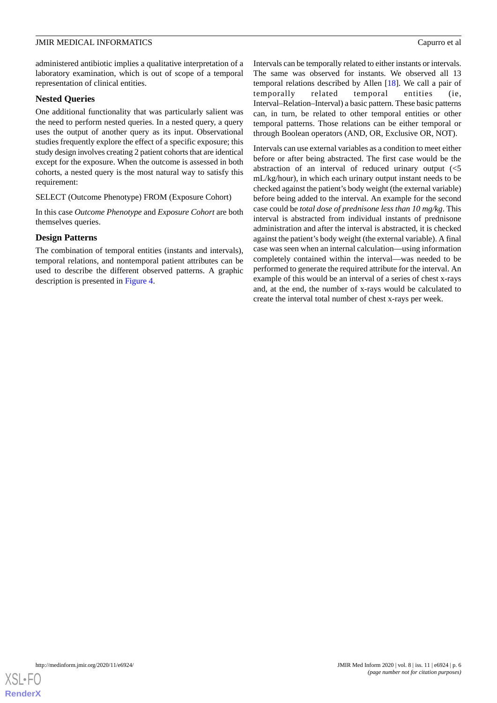administered antibiotic implies a qualitative interpretation of a laboratory examination, which is out of scope of a temporal representation of clinical entities.

#### **Nested Queries**

One additional functionality that was particularly salient was the need to perform nested queries. In a nested query, a query uses the output of another query as its input. Observational studies frequently explore the effect of a specific exposure; this study design involves creating 2 patient cohorts that are identical except for the exposure. When the outcome is assessed in both cohorts, a nested query is the most natural way to satisfy this requirement:

#### SELECT (Outcome Phenotype) FROM (Exposure Cohort)

In this case *Outcome Phenotype* and *Exposure Cohort* are both themselves queries.

#### **Design Patterns**

The combination of temporal entities (instants and intervals), temporal relations, and nontemporal patient attributes can be used to describe the different observed patterns. A graphic description is presented in [Figure 4](#page-6-0).

Intervals can be temporally related to either instants or intervals. The same was observed for instants. We observed all 13 temporal relations described by Allen [\[18](#page-8-5)]. We call a pair of temporally related temporal entities (ie, Interval–Relation–Interval) a basic pattern. These basic patterns can, in turn, be related to other temporal entities or other temporal patterns. Those relations can be either temporal or through Boolean operators (AND, OR, Exclusive OR, NOT).

Intervals can use external variables as a condition to meet either before or after being abstracted. The first case would be the abstraction of an interval of reduced urinary output (<5 mL/kg/hour), in which each urinary output instant needs to be checked against the patient's body weight (the external variable) before being added to the interval. An example for the second case could be *total dose of prednisone less than 10 mg/kg*. This interval is abstracted from individual instants of prednisone administration and after the interval is abstracted, it is checked against the patient's body weight (the external variable). A final case was seen when an internal calculation—using information completely contained within the interval—was needed to be performed to generate the required attribute for the interval. An example of this would be an interval of a series of chest x-rays and, at the end, the number of x-rays would be calculated to create the interval total number of chest x-rays per week.

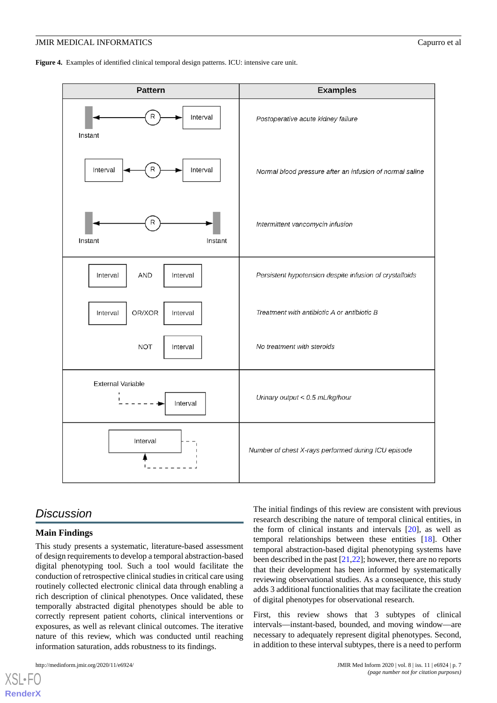<span id="page-6-0"></span>**Figure 4.** Examples of identified clinical temporal design patterns. ICU: intensive care unit.



# *Discussion*

# **Main Findings**

This study presents a systematic, literature-based assessment of design requirements to develop a temporal abstraction-based digital phenotyping tool. Such a tool would facilitate the conduction of retrospective clinical studies in critical care using routinely collected electronic clinical data through enabling a rich description of clinical phenotypes. Once validated, these temporally abstracted digital phenotypes should be able to correctly represent patient cohorts, clinical interventions or exposures, as well as relevant clinical outcomes. The iterative nature of this review, which was conducted until reaching information saturation, adds robustness to its findings.

[XSL](http://www.w3.org/Style/XSL)•FO **[RenderX](http://www.renderx.com/)**

The initial findings of this review are consistent with previous research describing the nature of temporal clinical entities, in the form of clinical instants and intervals [[20\]](#page-8-7), as well as temporal relationships between these entities [[18\]](#page-8-5). Other temporal abstraction-based digital phenotyping systems have been described in the past [\[21](#page-8-8),[22\]](#page-8-9); however, there are no reports that their development has been informed by systematically reviewing observational studies. As a consequence, this study adds 3 additional functionalities that may facilitate the creation of digital phenotypes for observational research.

First, this review shows that 3 subtypes of clinical intervals—instant-based, bounded, and moving window—are necessary to adequately represent digital phenotypes. Second, in addition to these interval subtypes, there is a need to perform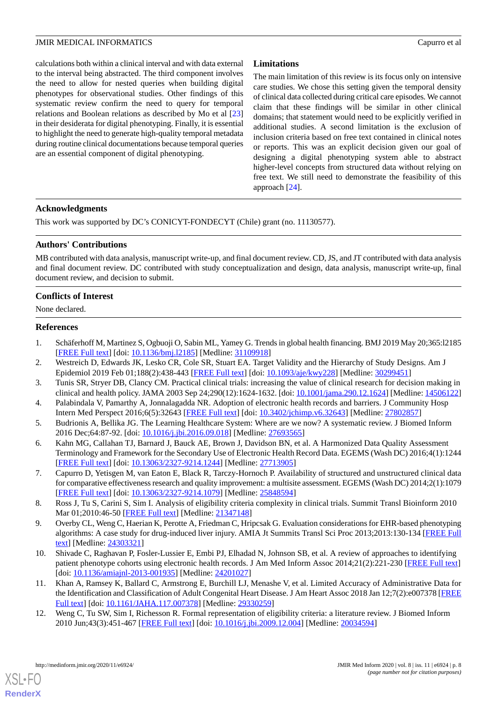calculations both within a clinical interval and with data external to the interval being abstracted. The third component involves the need to allow for nested queries when building digital phenotypes for observational studies. Other findings of this systematic review confirm the need to query for temporal relations and Boolean relations as described by Mo et al [\[23](#page-8-10)] in their desiderata for digital phenotyping. Finally, it is essential to highlight the need to generate high-quality temporal metadata during routine clinical documentations because temporal queries are an essential component of digital phenotyping.

# **Limitations**

The main limitation of this review is its focus only on intensive care studies. We chose this setting given the temporal density of clinical data collected during critical care episodes. We cannot claim that these findings will be similar in other clinical domains; that statement would need to be explicitly verified in additional studies. A second limitation is the exclusion of inclusion criteria based on free text contained in clinical notes or reports. This was an explicit decision given our goal of designing a digital phenotyping system able to abstract higher-level concepts from structured data without relying on free text. We still need to demonstrate the feasibility of this approach [\[24](#page-8-11)].

# **Acknowledgments**

This work was supported by DC's CONICYT-FONDECYT (Chile) grant (no. 11130577).

# **Authors' Contributions**

MB contributed with data analysis, manuscript write-up, and final document review. CD, JS, and JT contributed with data analysis and final document review. DC contributed with study conceptualization and design, data analysis, manuscript write-up, final document review, and decision to submit.

# **Conflicts of Interest**

<span id="page-7-0"></span>None declared.

# <span id="page-7-1"></span>**References**

- <span id="page-7-2"></span>1. Schäferhoff M, Martinez S, Ogbuoji O, Sabin ML, Yamey G. Trends in global health financing. BMJ 2019 May 20;365:l2185 [[FREE Full text](http://europepmc.org/abstract/MED/31109918)] [doi: 10.1136/bmj.12185] [Medline: [31109918](http://www.ncbi.nlm.nih.gov/entrez/query.fcgi?cmd=Retrieve&db=PubMed&list_uids=31109918&dopt=Abstract)]
- <span id="page-7-3"></span>2. Westreich D, Edwards JK, Lesko CR, Cole SR, Stuart EA. Target Validity and the Hierarchy of Study Designs. Am J Epidemiol 2019 Feb 01;188(2):438-443 [\[FREE Full text](http://europepmc.org/abstract/MED/30299451)] [doi: [10.1093/aje/kwy228\]](http://dx.doi.org/10.1093/aje/kwy228) [Medline: [30299451](http://www.ncbi.nlm.nih.gov/entrez/query.fcgi?cmd=Retrieve&db=PubMed&list_uids=30299451&dopt=Abstract)]
- <span id="page-7-4"></span>3. Tunis SR, Stryer DB, Clancy CM. Practical clinical trials: increasing the value of clinical research for decision making in clinical and health policy. JAMA 2003 Sep 24;290(12):1624-1632. [doi: [10.1001/jama.290.12.1624](http://dx.doi.org/10.1001/jama.290.12.1624)] [Medline: [14506122](http://www.ncbi.nlm.nih.gov/entrez/query.fcgi?cmd=Retrieve&db=PubMed&list_uids=14506122&dopt=Abstract)]
- <span id="page-7-5"></span>4. Palabindala V, Pamarthy A, Jonnalagadda NR. Adoption of electronic health records and barriers. J Community Hosp Intern Med Perspect 2016;6(5):32643 [\[FREE Full text\]](http://europepmc.org/abstract/MED/27802857) [doi: [10.3402/jchimp.v6.32643\]](http://dx.doi.org/10.3402/jchimp.v6.32643) [Medline: [27802857\]](http://www.ncbi.nlm.nih.gov/entrez/query.fcgi?cmd=Retrieve&db=PubMed&list_uids=27802857&dopt=Abstract)
- <span id="page-7-6"></span>5. Budrionis A, Bellika JG. The Learning Healthcare System: Where are we now? A systematic review. J Biomed Inform 2016 Dec;64:87-92. [doi: [10.1016/j.jbi.2016.09.018](http://dx.doi.org/10.1016/j.jbi.2016.09.018)] [Medline: [27693565\]](http://www.ncbi.nlm.nih.gov/entrez/query.fcgi?cmd=Retrieve&db=PubMed&list_uids=27693565&dopt=Abstract)
- <span id="page-7-7"></span>6. Kahn MG, Callahan TJ, Barnard J, Bauck AE, Brown J, Davidson BN, et al. A Harmonized Data Quality Assessment Terminology and Framework for the Secondary Use of Electronic Health Record Data. EGEMS (Wash DC) 2016;4(1):1244 [[FREE Full text](http://europepmc.org/abstract/MED/27713905)] [doi: [10.13063/2327-9214.1244\]](http://dx.doi.org/10.13063/2327-9214.1244) [Medline: [27713905](http://www.ncbi.nlm.nih.gov/entrez/query.fcgi?cmd=Retrieve&db=PubMed&list_uids=27713905&dopt=Abstract)]
- <span id="page-7-8"></span>7. Capurro D, Yetisgen M, van Eaton E, Black R, Tarczy-Hornoch P. Availability of structured and unstructured clinical data for comparative effectiveness research and quality improvement: a multisite assessment. EGEMS (Wash DC) 2014;2(1):1079 [[FREE Full text](http://europepmc.org/abstract/MED/25848594)] [doi: [10.13063/2327-9214.1079\]](http://dx.doi.org/10.13063/2327-9214.1079) [Medline: [25848594](http://www.ncbi.nlm.nih.gov/entrez/query.fcgi?cmd=Retrieve&db=PubMed&list_uids=25848594&dopt=Abstract)]
- <span id="page-7-9"></span>8. Ross J, Tu S, Carini S, Sim I. Analysis of eligibility criteria complexity in clinical trials. Summit Transl Bioinform 2010 Mar 01;2010:46-50 [\[FREE Full text\]](http://europepmc.org/abstract/MED/21347148) [Medline: [21347148\]](http://www.ncbi.nlm.nih.gov/entrez/query.fcgi?cmd=Retrieve&db=PubMed&list_uids=21347148&dopt=Abstract)
- <span id="page-7-10"></span>9. Overby CL, Weng C, Haerian K, Perotte A, Friedman C, Hripcsak G. Evaluation considerations for EHR-based phenotyping algorithms: A case study for drug-induced liver injury. AMIA Jt Summits Transl Sci Proc 2013;2013:130-134 [[FREE Full](http://europepmc.org/abstract/MED/24303321) [text](http://europepmc.org/abstract/MED/24303321)] [Medline: [24303321](http://www.ncbi.nlm.nih.gov/entrez/query.fcgi?cmd=Retrieve&db=PubMed&list_uids=24303321&dopt=Abstract)]
- <span id="page-7-11"></span>10. Shivade C, Raghavan P, Fosler-Lussier E, Embi PJ, Elhadad N, Johnson SB, et al. A review of approaches to identifying patient phenotype cohorts using electronic health records. J Am Med Inform Assoc 2014;21(2):221-230 [\[FREE Full text](http://europepmc.org/abstract/MED/24201027)] [doi: [10.1136/amiajnl-2013-001935\]](http://dx.doi.org/10.1136/amiajnl-2013-001935) [Medline: [24201027\]](http://www.ncbi.nlm.nih.gov/entrez/query.fcgi?cmd=Retrieve&db=PubMed&list_uids=24201027&dopt=Abstract)
- 11. Khan A, Ramsey K, Ballard C, Armstrong E, Burchill LJ, Menashe V, et al. Limited Accuracy of Administrative Data for the Identification and Classification of Adult Congenital Heart Disease. J Am Heart Assoc 2018 Jan 12;7(2):e007378 [\[FREE](http://www.ahajournals.org/doi/full/10.1161/JAHA.117.007378?url_ver=Z39.88-2003&rfr_id=ori:rid:crossref.org&rfr_dat=cr_pub%3dpubmed) [Full text\]](http://www.ahajournals.org/doi/full/10.1161/JAHA.117.007378?url_ver=Z39.88-2003&rfr_id=ori:rid:crossref.org&rfr_dat=cr_pub%3dpubmed) [doi: [10.1161/JAHA.117.007378](http://dx.doi.org/10.1161/JAHA.117.007378)] [Medline: [29330259](http://www.ncbi.nlm.nih.gov/entrez/query.fcgi?cmd=Retrieve&db=PubMed&list_uids=29330259&dopt=Abstract)]
- 12. Weng C, Tu SW, Sim I, Richesson R. Formal representation of eligibility criteria: a literature review. J Biomed Inform 2010 Jun;43(3):451-467 [\[FREE Full text\]](https://linkinghub.elsevier.com/retrieve/pii/S1532-0464(09)00159-2) [doi: [10.1016/j.jbi.2009.12.004](http://dx.doi.org/10.1016/j.jbi.2009.12.004)] [Medline: [20034594](http://www.ncbi.nlm.nih.gov/entrez/query.fcgi?cmd=Retrieve&db=PubMed&list_uids=20034594&dopt=Abstract)]

[XSL](http://www.w3.org/Style/XSL)•FO **[RenderX](http://www.renderx.com/)**